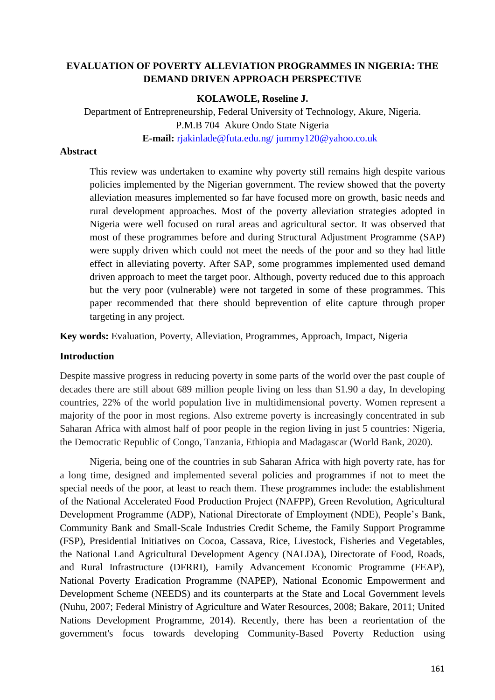# **EVALUATION OF POVERTY ALLEVIATION PROGRAMMES IN NIGERIA: THE DEMAND DRIVEN APPROACH PERSPECTIVE**

#### **KOLAWOLE, Roseline J.**

Department of Entrepreneurship, Federal University of Technology, Akure, Nigeria. P.M.B 704 Akure Ondo State Nigeria **E-mail:** [rjakinlade@futa.edu.ng/ jummy120@yahoo.co.uk](mailto:rjakinlade@futa.edu.ng/%20jummy120@yahoo.co.uk)

#### **Abstract**

This review was undertaken to examine why poverty still remains high despite various policies implemented by the Nigerian government. The review showed that the poverty alleviation measures implemented so far have focused more on growth, basic needs and rural development approaches. Most of the poverty alleviation strategies adopted in Nigeria were well focused on rural areas and agricultural sector. It was observed that most of these programmes before and during Structural Adjustment Programme (SAP) were supply driven which could not meet the needs of the poor and so they had little effect in alleviating poverty. After SAP, some programmes implemented used demand driven approach to meet the target poor. Although, poverty reduced due to this approach but the very poor (vulnerable) were not targeted in some of these programmes. This paper recommended that there should beprevention of elite capture through proper targeting in any project.

**Key words:** Evaluation, Poverty, Alleviation, Programmes, Approach, Impact, Nigeria

### **Introduction**

Despite massive progress in reducing poverty in some parts of the world over the past couple of decades there are still about 689 million people living on less than \$1.90 a day, In developing countries, 22% of the world population live in multidimensional poverty. Women represent a majority of the poor in most regions. Also extreme poverty is increasingly concentrated in sub Saharan Africa with almost half of poor people in the region living in just 5 countries: Nigeria, the Democratic Republic of Congo, Tanzania, Ethiopia and Madagascar (World Bank, 2020).

Nigeria, being one of the countries in sub Saharan Africa with high poverty rate, has for a long time, designed and implemented several policies and programmes if not to meet the special needs of the poor, at least to reach them. These programmes include: the establishment of the National Accelerated Food Production Project (NAFPP), Green Revolution, Agricultural Development Programme (ADP), National Directorate of Employment (NDE), People's Bank, Community Bank and Small-Scale Industries Credit Scheme, the Family Support Programme (FSP), Presidential Initiatives on Cocoa, Cassava, Rice, Livestock, Fisheries and Vegetables, the National Land Agricultural Development Agency (NALDA), Directorate of Food, Roads, and Rural Infrastructure (DFRRI), Family Advancement Economic Programme (FEAP), National Poverty Eradication Programme (NAPEP), National Economic Empowerment and Development Scheme (NEEDS) and its counterparts at the State and Local Government levels (Nuhu, 2007; Federal Ministry of Agriculture and Water Resources, 2008; Bakare, 2011; United Nations Development Programme, 2014). Recently, there has been a reorientation of the government's focus towards developing Community-Based Poverty Reduction using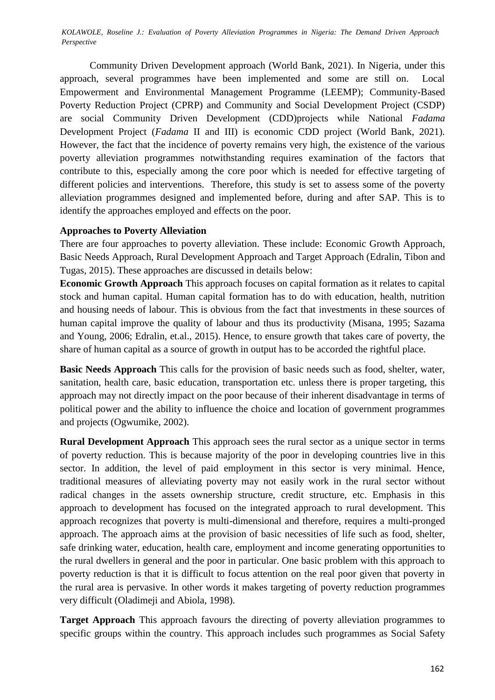Community Driven Development approach (World Bank, 2021). In Nigeria, under this approach, several programmes have been implemented and some are still on. Local Empowerment and Environmental Management Programme (LEEMP); Community-Based Poverty Reduction Project (CPRP) and Community and Social Development Project (CSDP) are social Community Driven Development (CDD)projects while National *Fadama*  Development Project (*Fadama* II and III) is economic CDD project (World Bank, 2021). However, the fact that the incidence of poverty remains very high, the existence of the various poverty alleviation programmes notwithstanding requires examination of the factors that contribute to this, especially among the core poor which is needed for effective targeting of different policies and interventions. Therefore, this study is set to assess some of the poverty alleviation programmes designed and implemented before, during and after SAP. This is to identify the approaches employed and effects on the poor.

### **Approaches to Poverty Alleviation**

There are four approaches to poverty alleviation. These include: Economic Growth Approach, Basic Needs Approach, Rural Development Approach and Target Approach (Edralin, Tibon and Tugas, 2015). These approaches are discussed in details below:

**Economic Growth Approach** This approach focuses on capital formation as it relates to capital stock and human capital. Human capital formation has to do with education, health, nutrition and housing needs of labour. This is obvious from the fact that investments in these sources of human capital improve the quality of labour and thus its productivity (Misana, 1995; Sazama and Young, 2006; Edralin, et.al., 2015). Hence, to ensure growth that takes care of poverty, the share of human capital as a source of growth in output has to be accorded the rightful place.

**Basic Needs Approach** This calls for the provision of basic needs such as food, shelter, water, sanitation, health care, basic education, transportation etc. unless there is proper targeting, this approach may not directly impact on the poor because of their inherent disadvantage in terms of political power and the ability to influence the choice and location of government programmes and projects (Ogwumike, 2002).

**Rural Development Approach** This approach sees the rural sector as a unique sector in terms of poverty reduction. This is because majority of the poor in developing countries live in this sector. In addition, the level of paid employment in this sector is very minimal. Hence, traditional measures of alleviating poverty may not easily work in the rural sector without radical changes in the assets ownership structure, credit structure, etc. Emphasis in this approach to development has focused on the integrated approach to rural development. This approach recognizes that poverty is multi-dimensional and therefore, requires a multi-pronged approach. The approach aims at the provision of basic necessities of life such as food, shelter, safe drinking water, education, health care, employment and income generating opportunities to the rural dwellers in general and the poor in particular. One basic problem with this approach to poverty reduction is that it is difficult to focus attention on the real poor given that poverty in the rural area is pervasive. In other words it makes targeting of poverty reduction programmes very difficult (Oladimeji and Abiola, 1998).

**Target Approach** This approach favours the directing of poverty alleviation programmes to specific groups within the country. This approach includes such programmes as Social Safety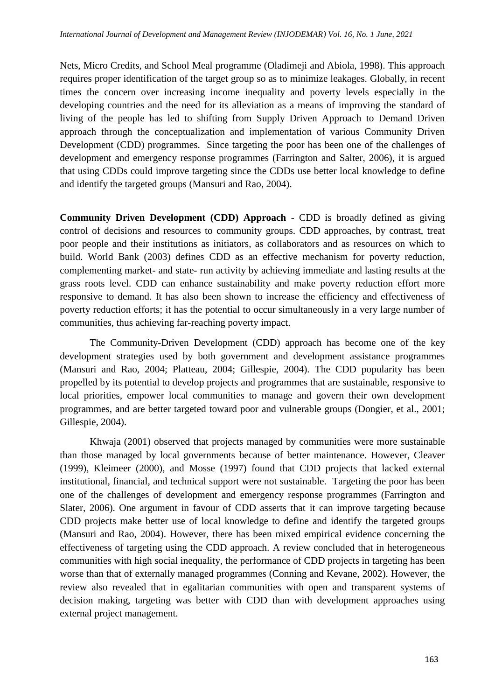Nets, Micro Credits, and School Meal programme (Oladimeji and Abiola, 1998). This approach requires proper identification of the target group so as to minimize leakages. Globally, in recent times the concern over increasing income inequality and poverty levels especially in the developing countries and the need for its alleviation as a means of improving the standard of living of the people has led to shifting from Supply Driven Approach to Demand Driven approach through the conceptualization and implementation of various Community Driven Development (CDD) programmes. Since targeting the poor has been one of the challenges of development and emergency response programmes (Farrington and Salter, 2006), it is argued that using CDDs could improve targeting since the CDDs use better local knowledge to define and identify the targeted groups (Mansuri and Rao, 2004).

**Community Driven Development (CDD) Approach** - CDD is broadly defined as giving control of decisions and resources to community groups. CDD approaches, by contrast, treat poor people and their institutions as initiators, as collaborators and as resources on which to build. World Bank (2003) defines CDD as an effective mechanism for poverty reduction, complementing market- and state- run activity by achieving immediate and lasting results at the grass roots level. CDD can enhance sustainability and make poverty reduction effort more responsive to demand. It has also been shown to increase the efficiency and effectiveness of poverty reduction efforts; it has the potential to occur simultaneously in a very large number of communities, thus achieving far-reaching poverty impact.

The Community-Driven Development (CDD) approach has become one of the key development strategies used by both government and development assistance programmes (Mansuri and Rao, 2004; Platteau, 2004; Gillespie, 2004). The CDD popularity has been propelled by its potential to develop projects and programmes that are sustainable, responsive to local priorities, empower local communities to manage and govern their own development programmes, and are better targeted toward poor and vulnerable groups (Dongier, et al., 2001; Gillespie, 2004).

Khwaja (2001) observed that projects managed by communities were more sustainable than those managed by local governments because of better maintenance. However, Cleaver (1999), Kleimeer (2000), and Mosse (1997) found that CDD projects that lacked external institutional, financial, and technical support were not sustainable. Targeting the poor has been one of the challenges of development and emergency response programmes (Farrington and Slater, 2006). One argument in favour of CDD asserts that it can improve targeting because CDD projects make better use of local knowledge to define and identify the targeted groups (Mansuri and Rao, 2004). However, there has been mixed empirical evidence concerning the effectiveness of targeting using the CDD approach. A review concluded that in heterogeneous communities with high social inequality, the performance of CDD projects in targeting has been worse than that of externally managed programmes (Conning and Kevane, 2002). However, the review also revealed that in egalitarian communities with open and transparent systems of decision making, targeting was better with CDD than with development approaches using external project management.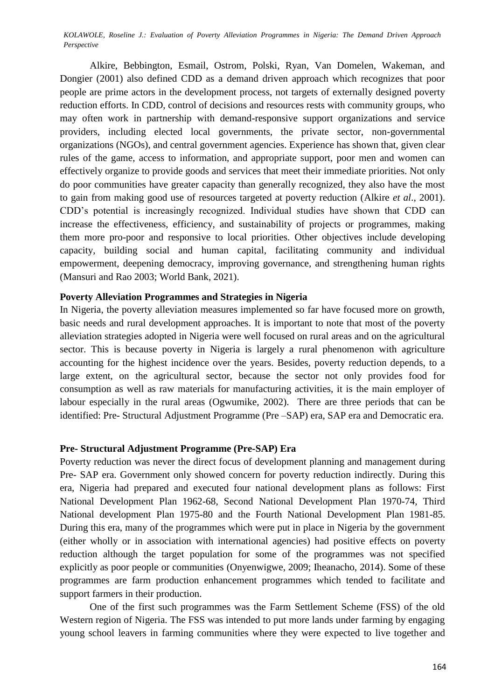Alkire, Bebbington, Esmail, Ostrom, Polski, Ryan, Van Domelen, Wakeman, and Dongier (2001) also defined CDD as a demand driven approach which recognizes that poor people are prime actors in the development process, not targets of externally designed poverty reduction efforts. In CDD, control of decisions and resources rests with community groups, who may often work in partnership with demand-responsive support organizations and service providers, including elected local governments, the private sector, non-governmental organizations (NGOs), and central government agencies. Experience has shown that, given clear rules of the game, access to information, and appropriate support, poor men and women can effectively organize to provide goods and services that meet their immediate priorities. Not only do poor communities have greater capacity than generally recognized, they also have the most to gain from making good use of resources targeted at poverty reduction (Alkire *et al*., 2001). CDD's potential is increasingly recognized. Individual studies have shown that CDD can increase the effectiveness, efficiency, and sustainability of projects or programmes, making them more pro-poor and responsive to local priorities. Other objectives include developing capacity, building social and human capital, facilitating community and individual empowerment, deepening democracy, improving governance, and strengthening human rights (Mansuri and Rao 2003; World Bank, 2021).

### **Poverty Alleviation Programmes and Strategies in Nigeria**

In Nigeria, the poverty alleviation measures implemented so far have focused more on growth, basic needs and rural development approaches. It is important to note that most of the poverty alleviation strategies adopted in Nigeria were well focused on rural areas and on the agricultural sector. This is because poverty in Nigeria is largely a rural phenomenon with agriculture accounting for the highest incidence over the years. Besides, poverty reduction depends, to a large extent, on the agricultural sector, because the sector not only provides food for consumption as well as raw materials for manufacturing activities, it is the main employer of labour especially in the rural areas (Ogwumike, 2002). There are three periods that can be identified: Pre- Structural Adjustment Programme (Pre –SAP) era, SAP era and Democratic era.

#### **Pre- Structural Adjustment Programme (Pre-SAP) Era**

Poverty reduction was never the direct focus of development planning and management during Pre- SAP era. Government only showed concern for poverty reduction indirectly. During this era, Nigeria had prepared and executed four national development plans as follows: First National Development Plan 1962-68, Second National Development Plan 1970-74, Third National development Plan 1975-80 and the Fourth National Development Plan 1981-85. During this era, many of the programmes which were put in place in Nigeria by the government (either wholly or in association with international agencies) had positive effects on poverty reduction although the target population for some of the programmes was not specified explicitly as poor people or communities (Onyenwigwe, 2009; Iheanacho, 2014). Some of these programmes are farm production enhancement programmes which tended to facilitate and support farmers in their production.

One of the first such programmes was the Farm Settlement Scheme (FSS) of the old Western region of Nigeria. The FSS was intended to put more lands under farming by engaging young school leavers in farming communities where they were expected to live together and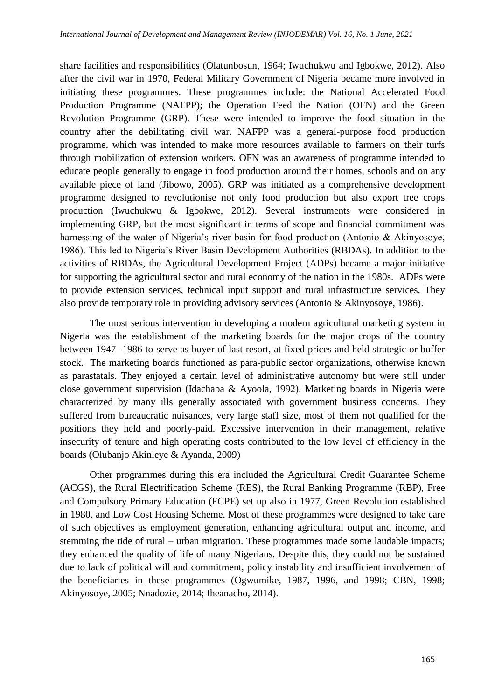share facilities and responsibilities (Olatunbosun, 1964; Iwuchukwu and Igbokwe, 2012). Also after the civil war in 1970, Federal Military Government of Nigeria became more involved in initiating these programmes. These programmes include: the National Accelerated Food Production Programme (NAFPP); the Operation Feed the Nation (OFN) and the Green Revolution Programme (GRP). These were intended to improve the food situation in the country after the debilitating civil war. NAFPP was a general-purpose food production programme, which was intended to make more resources available to farmers on their turfs through mobilization of extension workers. OFN was an awareness of programme intended to educate people generally to engage in food production around their homes, schools and on any available piece of land (Jibowo, 2005). GRP was initiated as a comprehensive development programme designed to revolutionise not only food production but also export tree crops production (Iwuchukwu & Igbokwe, 2012). Several instruments were considered in implementing GRP, but the most significant in terms of scope and financial commitment was harnessing of the water of Nigeria's river basin for food production (Antonio & Akinyosove, 1986). This led to Nigeria's River Basin Development Authorities (RBDAs). In addition to the activities of RBDAs, the Agricultural Development Project (ADPs) became a major initiative for supporting the agricultural sector and rural economy of the nation in the 1980s. ADPs were to provide extension services, technical input support and rural infrastructure services. They also provide temporary role in providing advisory services (Antonio & Akinyosoye, 1986).

The most serious intervention in developing a modern agricultural marketing system in Nigeria was the establishment of the marketing boards for the major crops of the country between 1947 -1986 to serve as buyer of last resort, at fixed prices and held strategic or buffer stock. The marketing boards functioned as para-public sector organizations, otherwise known as parastatals. They enjoyed a certain level of administrative autonomy but were still under close government supervision (Idachaba & Ayoola, 1992). Marketing boards in Nigeria were characterized by many ills generally associated with government business concerns. They suffered from bureaucratic nuisances, very large staff size, most of them not qualified for the positions they held and poorly-paid. Excessive intervention in their management, relative insecurity of tenure and high operating costs contributed to the low level of efficiency in the boards (Olubanjo Akinleye & Ayanda, 2009)

Other programmes during this era included the Agricultural Credit Guarantee Scheme (ACGS), the Rural Electrification Scheme (RES), the Rural Banking Programme (RBP), Free and Compulsory Primary Education (FCPE) set up also in 1977, Green Revolution established in 1980, and Low Cost Housing Scheme. Most of these programmes were designed to take care of such objectives as employment generation, enhancing agricultural output and income, and stemming the tide of rural – urban migration. These programmes made some laudable impacts; they enhanced the quality of life of many Nigerians. Despite this, they could not be sustained due to lack of political will and commitment, policy instability and insufficient involvement of the beneficiaries in these programmes (Ogwumike, 1987, 1996, and 1998; CBN, 1998; Akinyosoye, 2005; Nnadozie, 2014; Iheanacho, 2014).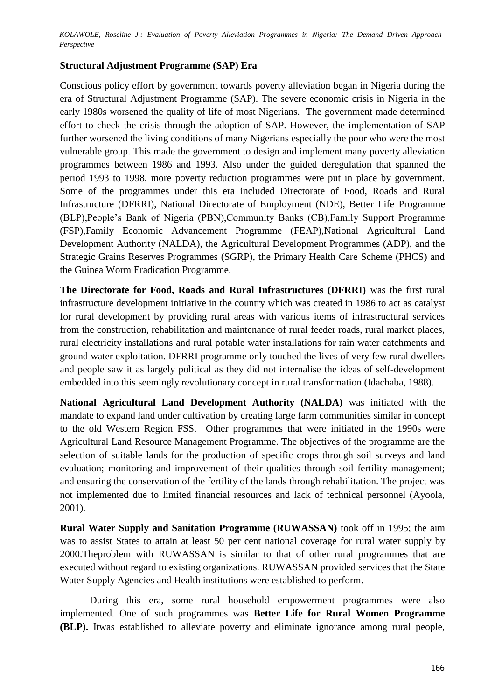### **Structural Adjustment Programme (SAP) Era**

Conscious policy effort by government towards poverty alleviation began in Nigeria during the era of Structural Adjustment Programme (SAP). The severe economic crisis in Nigeria in the early 1980s worsened the quality of life of most Nigerians. The government made determined effort to check the crisis through the adoption of SAP. However, the implementation of SAP further worsened the living conditions of many Nigerians especially the poor who were the most vulnerable group. This made the government to design and implement many poverty alleviation programmes between 1986 and 1993. Also under the guided deregulation that spanned the period 1993 to 1998, more poverty reduction programmes were put in place by government. Some of the programmes under this era included Directorate of Food, Roads and Rural Infrastructure (DFRRI), National Directorate of Employment (NDE), Better Life Programme (BLP),People's Bank of Nigeria (PBN),Community Banks (CB),Family Support Programme (FSP),Family Economic Advancement Programme (FEAP),National Agricultural Land Development Authority (NALDA), the Agricultural Development Programmes (ADP), and the Strategic Grains Reserves Programmes (SGRP), the Primary Health Care Scheme (PHCS) and the Guinea Worm Eradication Programme.

**The Directorate for Food, Roads and Rural Infrastructures (DFRRI)** was the first rural infrastructure development initiative in the country which was created in 1986 to act as catalyst for rural development by providing rural areas with various items of infrastructural services from the construction, rehabilitation and maintenance of rural feeder roads, rural market places, rural electricity installations and rural potable water installations for rain water catchments and ground water exploitation. DFRRI programme only touched the lives of very few rural dwellers and people saw it as largely political as they did not internalise the ideas of self-development embedded into this seemingly revolutionary concept in rural transformation (Idachaba, 1988).

**National Agricultural Land Development Authority (NALDA)** was initiated with the mandate to expand land under cultivation by creating large farm communities similar in concept to the old Western Region FSS. Other programmes that were initiated in the 1990s were Agricultural Land Resource Management Programme. The objectives of the programme are the selection of suitable lands for the production of specific crops through soil surveys and land evaluation; monitoring and improvement of their qualities through soil fertility management; and ensuring the conservation of the fertility of the lands through rehabilitation. The project was not implemented due to limited financial resources and lack of technical personnel (Ayoola, 2001).

**Rural Water Supply and Sanitation Programme (RUWASSAN)** took off in 1995; the aim was to assist States to attain at least 50 per cent national coverage for rural water supply by 2000.Theproblem with RUWASSAN is similar to that of other rural programmes that are executed without regard to existing organizations. RUWASSAN provided services that the State Water Supply Agencies and Health institutions were established to perform.

During this era, some rural household empowerment programmes were also implemented. One of such programmes was **Better Life for Rural Women Programme (BLP).** Itwas established to alleviate poverty and eliminate ignorance among rural people,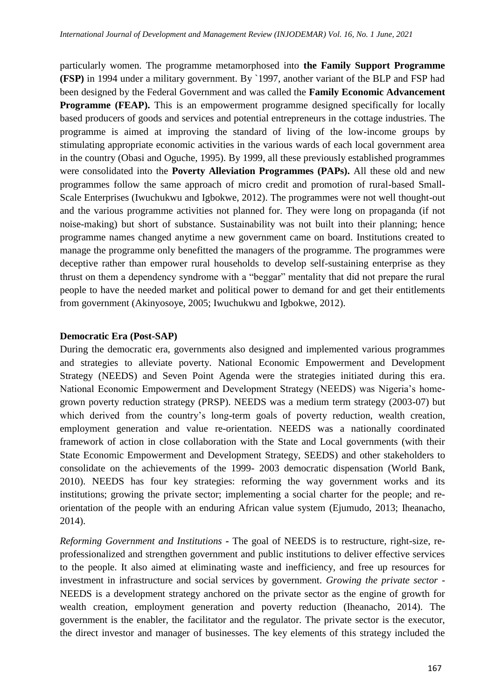particularly women. The programme metamorphosed into **the Family Support Programme (FSP)** in 1994 under a military government. By `1997, another variant of the BLP and FSP had been designed by the Federal Government and was called the **Family Economic Advancement Programme (FEAP).** This is an empowerment programme designed specifically for locally based producers of goods and services and potential entrepreneurs in the cottage industries. The programme is aimed at improving the standard of living of the low-income groups by stimulating appropriate economic activities in the various wards of each local government area in the country (Obasi and Oguche, 1995). By 1999, all these previously established programmes were consolidated into the **Poverty Alleviation Programmes (PAPs).** All these old and new programmes follow the same approach of micro credit and promotion of rural-based Small-Scale Enterprises (Iwuchukwu and Igbokwe, 2012). The programmes were not well thought-out and the various programme activities not planned for. They were long on propaganda (if not noise-making) but short of substance. Sustainability was not built into their planning; hence programme names changed anytime a new government came on board. Institutions created to manage the programme only benefitted the managers of the programme. The programmes were deceptive rather than empower rural households to develop self-sustaining enterprise as they thrust on them a dependency syndrome with a "beggar" mentality that did not prepare the rural people to have the needed market and political power to demand for and get their entitlements from government (Akinyosoye, 2005; Iwuchukwu and Igbokwe, 2012).

## **Democratic Era (Post-SAP)**

During the democratic era, governments also designed and implemented various programmes and strategies to alleviate poverty. National Economic Empowerment and Development Strategy (NEEDS) and Seven Point Agenda were the strategies initiated during this era. National Economic Empowerment and Development Strategy (NEEDS) was Nigeria's homegrown poverty reduction strategy (PRSP). NEEDS was a medium term strategy (2003-07) but which derived from the country's long-term goals of poverty reduction, wealth creation, employment generation and value re-orientation. NEEDS was a nationally coordinated framework of action in close collaboration with the State and Local governments (with their State Economic Empowerment and Development Strategy, SEEDS) and other stakeholders to consolidate on the achievements of the 1999- 2003 democratic dispensation (World Bank, 2010). NEEDS has four key strategies: reforming the way government works and its institutions; growing the private sector; implementing a social charter for the people; and reorientation of the people with an enduring African value system (Ejumudo, 2013; Iheanacho, 2014).

*Reforming Government and Institutions* **-** The goal of NEEDS is to restructure, right-size, reprofessionalized and strengthen government and public institutions to deliver effective services to the people. It also aimed at eliminating waste and inefficiency, and free up resources for investment in infrastructure and social services by government. *Growing the private sector* - NEEDS is a development strategy anchored on the private sector as the engine of growth for wealth creation, employment generation and poverty reduction (Iheanacho, 2014). The government is the enabler, the facilitator and the regulator. The private sector is the executor, the direct investor and manager of businesses. The key elements of this strategy included the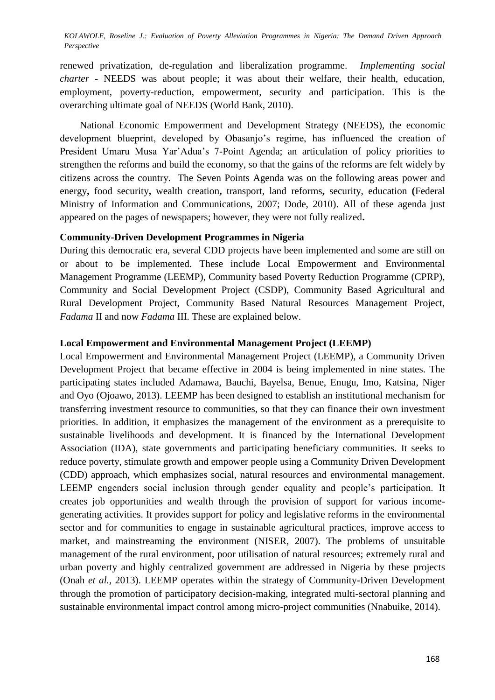renewed privatization, de-regulation and liberalization programme. *Implementing social charter* **-** NEEDS was about people; it was about their welfare, their health, education, employment, poverty-reduction, empowerment, security and participation. This is the overarching ultimate goal of NEEDS (World Bank, 2010).

 National Economic Empowerment and Development Strategy (NEEDS), the economic development blueprint, developed by Obasanjo's regime, has influenced the creation of President Umaru Musa Yar'Adua's 7-Point Agenda; an articulation of policy priorities to strengthen the reforms and build the economy, so that the gains of the reforms are felt widely by citizens across the country. The Seven Points Agenda was on the following areas power and energy**,** food security**,** wealth creation**,** transport, land reforms**,** security, education **(**Federal Ministry of Information and Communications, 2007; Dode, 2010). All of these agenda just appeared on the pages of newspapers; however, they were not fully realized**.**

#### **Community-Driven Development Programmes in Nigeria**

During this democratic era, several CDD projects have been implemented and some are still on or about to be implemented. These include Local Empowerment and Environmental Management Programme (LEEMP), Community based Poverty Reduction Programme (CPRP), Community and Social Development Project (CSDP), Community Based Agricultural and Rural Development Project, Community Based Natural Resources Management Project, *Fadama* II and now *Fadama* III. These are explained below.

#### **Local Empowerment and Environmental Management Project (LEEMP)**

Local Empowerment and Environmental Management Project (LEEMP), a Community Driven Development Project that became effective in 2004 is being implemented in nine states. The participating states included Adamawa, Bauchi, Bayelsa, Benue, Enugu, Imo, Katsina, Niger and Oyo (Ojoawo, 2013). LEEMP has been designed to establish an institutional mechanism for transferring investment resource to communities, so that they can finance their own investment priorities. In addition, it emphasizes the management of the environment as a prerequisite to sustainable livelihoods and development. It is financed by the International Development Association (IDA), state governments and participating beneficiary communities. It seeks to reduce poverty, stimulate growth and empower people using a Community Driven Development (CDD) approach, which emphasizes social, natural resources and environmental management. LEEMP engenders social inclusion through gender equality and people's participation. It creates job opportunities and wealth through the provision of support for various incomegenerating activities. It provides support for policy and legislative reforms in the environmental sector and for communities to engage in sustainable agricultural practices, improve access to market, and mainstreaming the environment (NISER, 2007). The problems of unsuitable management of the rural environment, poor utilisation of natural resources; extremely rural and urban poverty and highly centralized government are addressed in Nigeria by these projects (Onah *et al.,* 2013). LEEMP operates within the strategy of Community-Driven Development through the promotion of participatory decision-making, integrated multi-sectoral planning and sustainable environmental impact control among micro-project communities (Nnabuike, 2014).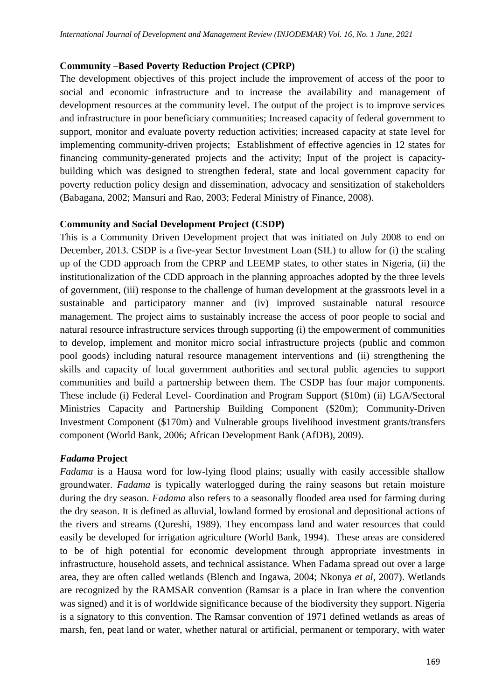### **Community –Based Poverty Reduction Project (CPRP)**

The development objectives of this project include the improvement of access of the poor to social and economic infrastructure and to increase the availability and management of development resources at the community level. The output of the project is to improve services and infrastructure in poor beneficiary communities; Increased capacity of federal government to support, monitor and evaluate poverty reduction activities; increased capacity at state level for implementing community-driven projects; Establishment of effective agencies in 12 states for financing community-generated projects and the activity; Input of the project is capacitybuilding which was designed to strengthen federal, state and local government capacity for poverty reduction policy design and dissemination, advocacy and sensitization of stakeholders (Babagana, 2002; Mansuri and Rao, 2003; Federal Ministry of Finance, 2008).

### **Community and Social Development Project (CSDP)**

This is a Community Driven Development project that was initiated on July 2008 to end on December, 2013. CSDP is a five-year Sector Investment Loan (SIL) to allow for (i) the scaling up of the CDD approach from the CPRP and LEEMP states, to other states in Nigeria, (ii) the institutionalization of the CDD approach in the planning approaches adopted by the three levels of government, (iii) response to the challenge of human development at the grassroots level in a sustainable and participatory manner and (iv) improved sustainable natural resource management. The project aims to sustainably increase the access of poor people to social and natural resource infrastructure services through supporting (i) the empowerment of communities to develop, implement and monitor micro social infrastructure projects (public and common pool goods) including natural resource management interventions and (ii) strengthening the skills and capacity of local government authorities and sectoral public agencies to support communities and build a partnership between them. The CSDP has four major components. These include (i) Federal Level- Coordination and Program Support (\$10m) (ii) LGA/Sectoral Ministries Capacity and Partnership Building Component (\$20m); Community-Driven Investment Component (\$170m) and Vulnerable groups livelihood investment grants/transfers component (World Bank, 2006; African Development Bank (AfDB), 2009).

### *Fadama* **Project**

*Fadama* is a Hausa word for low-lying flood plains; usually with easily accessible shallow groundwater. *Fadama* is typically waterlogged during the rainy seasons but retain moisture during the dry season. *Fadama* also refers to a seasonally flooded area used for farming during the dry season. It is defined as alluvial, lowland formed by erosional and depositional actions of the rivers and streams (Qureshi, 1989). They encompass land and water resources that could easily be developed for irrigation agriculture (World Bank, 1994). These areas are considered to be of high potential for economic development through appropriate investments in infrastructure, household assets, and technical assistance. When Fadama spread out over a large area, they are often called wetlands (Blench and Ingawa, 2004; Nkonya *et al*, 2007). Wetlands are recognized by the RAMSAR convention (Ramsar is a place in Iran where the convention was signed) and it is of worldwide significance because of the biodiversity they support. Nigeria is a signatory to this convention. The Ramsar convention of 1971 defined wetlands as areas of marsh, fen, peat land or water, whether natural or artificial, permanent or temporary, with water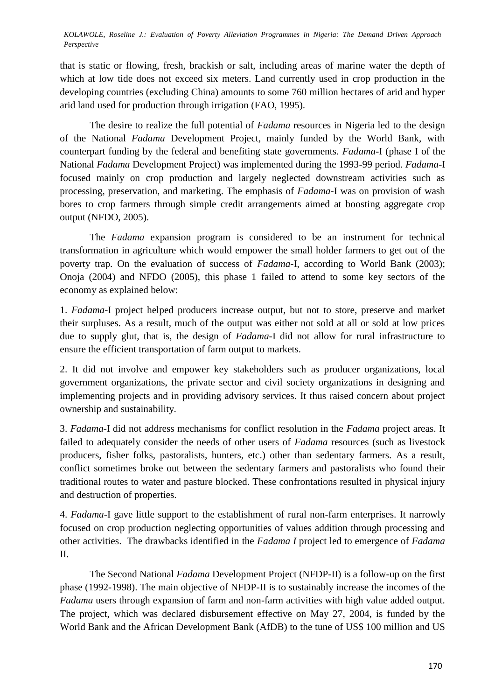that is static or flowing, fresh, brackish or salt, including areas of marine water the depth of which at low tide does not exceed six meters. Land currently used in crop production in the developing countries (excluding China) amounts to some 760 million hectares of arid and hyper arid land used for production through irrigation (FAO, 1995).

The desire to realize the full potential of *Fadama* resources in Nigeria led to the design of the National *Fadama* Development Project, mainly funded by the World Bank, with counterpart funding by the federal and benefiting state governments. *Fadama*-I (phase I of the National *Fadama* Development Project) was implemented during the 1993-99 period. *Fadama*-I focused mainly on crop production and largely neglected downstream activities such as processing, preservation, and marketing. The emphasis of *Fadama*-I was on provision of wash bores to crop farmers through simple credit arrangements aimed at boosting aggregate crop output (NFDO, 2005).

The *Fadama* expansion program is considered to be an instrument for technical transformation in agriculture which would empower the small holder farmers to get out of the poverty trap. On the evaluation of success of *Fadama*-I, according to World Bank (2003); Onoja (2004) and NFDO (2005), this phase 1 failed to attend to some key sectors of the economy as explained below:

1. *Fadama*-I project helped producers increase output, but not to store, preserve and market their surpluses. As a result, much of the output was either not sold at all or sold at low prices due to supply glut, that is, the design of *Fadama*-I did not allow for rural infrastructure to ensure the efficient transportation of farm output to markets.

2. It did not involve and empower key stakeholders such as producer organizations, local government organizations, the private sector and civil society organizations in designing and implementing projects and in providing advisory services. It thus raised concern about project ownership and sustainability.

3. *Fadama*-I did not address mechanisms for conflict resolution in the *Fadama* project areas. It failed to adequately consider the needs of other users of *Fadama* resources (such as livestock producers, fisher folks, pastoralists, hunters, etc.) other than sedentary farmers. As a result, conflict sometimes broke out between the sedentary farmers and pastoralists who found their traditional routes to water and pasture blocked. These confrontations resulted in physical injury and destruction of properties.

4. *Fadama*-I gave little support to the establishment of rural non-farm enterprises. It narrowly focused on crop production neglecting opportunities of values addition through processing and other activities. The drawbacks identified in the *Fadama I* project led to emergence of *Fadama* II.

The Second National *Fadama* Development Project (NFDP-II) is a follow-up on the first phase (1992-1998). The main objective of NFDP-II is to sustainably increase the incomes of the *Fadama* users through expansion of farm and non-farm activities with high value added output. The project, which was declared disbursement effective on May 27, 2004, is funded by the World Bank and the African Development Bank (AfDB) to the tune of US\$ 100 million and US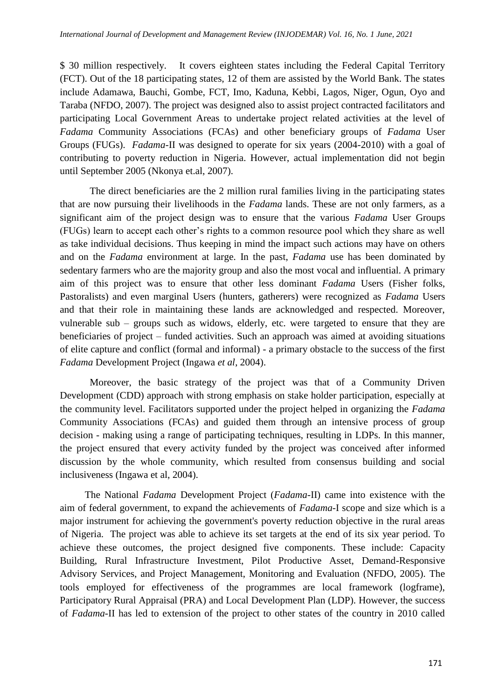\$ 30 million respectively. It covers eighteen states including the Federal Capital Territory (FCT). Out of the 18 participating states, 12 of them are assisted by the World Bank. The states include Adamawa, Bauchi, Gombe, FCT, Imo, Kaduna, Kebbi, Lagos, Niger, Ogun, Oyo and Taraba (NFDO, 2007). The project was designed also to assist project contracted facilitators and participating Local Government Areas to undertake project related activities at the level of *Fadama* Community Associations (FCAs) and other beneficiary groups of *Fadama* User Groups (FUGs). *Fadama*-II was designed to operate for six years (2004-2010) with a goal of contributing to poverty reduction in Nigeria. However, actual implementation did not begin until September 2005 (Nkonya et.al, 2007).

The direct beneficiaries are the 2 million rural families living in the participating states that are now pursuing their livelihoods in the *Fadama* lands. These are not only farmers, as a significant aim of the project design was to ensure that the various *Fadama* User Groups (FUGs) learn to accept each other's rights to a common resource pool which they share as well as take individual decisions. Thus keeping in mind the impact such actions may have on others and on the *Fadama* environment at large. In the past, *Fadama* use has been dominated by sedentary farmers who are the majority group and also the most vocal and influential. A primary aim of this project was to ensure that other less dominant *Fadama* Users (Fisher folks, Pastoralists) and even marginal Users (hunters, gatherers) were recognized as *Fadama* Users and that their role in maintaining these lands are acknowledged and respected. Moreover, vulnerable sub – groups such as widows, elderly, etc. were targeted to ensure that they are beneficiaries of project – funded activities. Such an approach was aimed at avoiding situations of elite capture and conflict (formal and informal) - a primary obstacle to the success of the first *Fadama* Development Project (Ingawa *et al*, 2004).

Moreover, the basic strategy of the project was that of a Community Driven Development (CDD) approach with strong emphasis on stake holder participation, especially at the community level. Facilitators supported under the project helped in organizing the *Fadama*  Community Associations (FCAs) and guided them through an intensive process of group decision - making using a range of participating techniques, resulting in LDPs. In this manner, the project ensured that every activity funded by the project was conceived after informed discussion by the whole community, which resulted from consensus building and social inclusiveness (Ingawa et al, 2004).

The National *Fadama* Development Project (*Fadama*-II) came into existence with the aim of federal government, to expand the achievements of *Fadama*-I scope and size which is a major instrument for achieving the government's poverty reduction objective in the rural areas of Nigeria. The project was able to achieve its set targets at the end of its six year period. To achieve these outcomes, the project designed five components. These include: Capacity Building, Rural Infrastructure Investment, Pilot Productive Asset, Demand-Responsive Advisory Services, and Project Management, Monitoring and Evaluation (NFDO, 2005). The tools employed for effectiveness of the programmes are local framework (logframe), Participatory Rural Appraisal (PRA) and Local Development Plan (LDP). However, the success of *Fadama-*II has led to extension of the project to other states of the country in 2010 called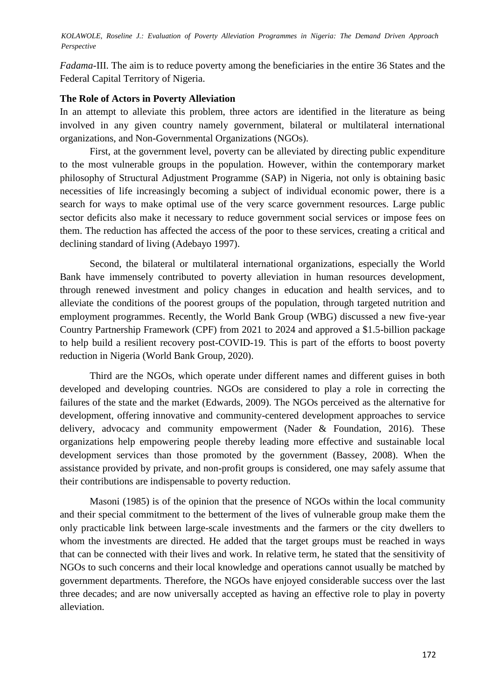*Fadama*-III. The aim is to reduce poverty among the beneficiaries in the entire 36 States and the Federal Capital Territory of Nigeria.

### **The Role of Actors in Poverty Alleviation**

In an attempt to alleviate this problem, three actors are identified in the literature as being involved in any given country namely government, bilateral or multilateral international organizations, and Non-Governmental Organizations (NGOs).

First, at the government level, poverty can be alleviated by directing public expenditure to the most vulnerable groups in the population. However, within the contemporary market philosophy of Structural Adjustment Programme (SAP) in Nigeria, not only is obtaining basic necessities of life increasingly becoming a subject of individual economic power, there is a search for ways to make optimal use of the very scarce government resources. Large public sector deficits also make it necessary to reduce government social services or impose fees on them. The reduction has affected the access of the poor to these services, creating a critical and declining standard of living (Adebayo 1997).

Second, the bilateral or multilateral international organizations, especially the World Bank have immensely contributed to poverty alleviation in human resources development, through renewed investment and policy changes in education and health services, and to alleviate the conditions of the poorest groups of the population, through targeted nutrition and employment programmes. Recently, the World Bank Group (WBG) discussed a new five-year Country Partnership Framework (CPF) from 2021 to 2024 and approved a \$1.5-billion package to help build a resilient recovery post-COVID-19. This is part of the efforts to boost poverty reduction in Nigeria (World Bank Group, 2020).

Third are the NGOs, which operate under different names and different guises in both developed and developing countries. NGOs are considered to play a role in correcting the failures of the state and the market (Edwards, 2009). The NGOs perceived as the alternative for development, offering innovative and community-centered development approaches to service delivery, advocacy and community empowerment (Nader & Foundation, 2016). These organizations help empowering people thereby leading more effective and sustainable local development services than those promoted by the government (Bassey, 2008). When the assistance provided by private, and non-profit groups is considered, one may safely assume that their contributions are indispensable to poverty reduction.

Masoni (1985) is of the opinion that the presence of NGOs within the local community and their special commitment to the betterment of the lives of vulnerable group make them the only practicable link between large-scale investments and the farmers or the city dwellers to whom the investments are directed. He added that the target groups must be reached in ways that can be connected with their lives and work. In relative term, he stated that the sensitivity of NGOs to such concerns and their local knowledge and operations cannot usually be matched by government departments. Therefore, the NGOs have enjoyed considerable success over the last three decades; and are now universally accepted as having an effective role to play in poverty alleviation.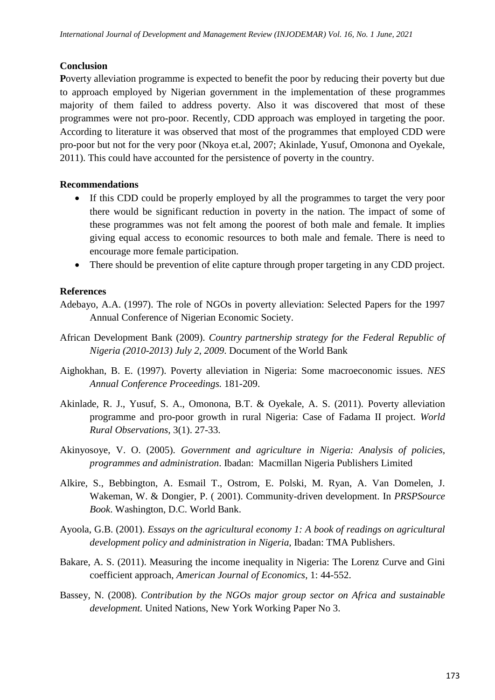## **Conclusion**

**P**overty alleviation programme is expected to benefit the poor by reducing their poverty but due to approach employed by Nigerian government in the implementation of these programmes majority of them failed to address poverty. Also it was discovered that most of these programmes were not pro-poor. Recently, CDD approach was employed in targeting the poor. According to literature it was observed that most of the programmes that employed CDD were pro-poor but not for the very poor (Nkoya et.al, 2007; Akinlade, Yusuf, Omonona and Oyekale, 2011). This could have accounted for the persistence of poverty in the country.

# **Recommendations**

- If this CDD could be properly employed by all the programmes to target the very poor there would be significant reduction in poverty in the nation. The impact of some of these programmes was not felt among the poorest of both male and female. It implies giving equal access to economic resources to both male and female. There is need to encourage more female participation.
- There should be prevention of elite capture through proper targeting in any CDD project.

# **References**

- Adebayo, A.A. (1997). The role of NGOs in poverty alleviation: Selected Papers for the 1997 Annual Conference of Nigerian Economic Society.
- African Development Bank (2009). *Country partnership strategy for the Federal Republic of Nigeria (2010-2013) July 2, 2009*. Document of the World Bank
- Aighokhan, B. E. (1997). Poverty alleviation in Nigeria: Some macroeconomic issues. *NES Annual Conference Proceedings.* 181-209.
- Akinlade, R. J., Yusuf, S. A., Omonona, B.T. & Oyekale, A. S. (2011). Poverty alleviation programme and pro-poor growth in rural Nigeria: Case of Fadama II project. *World Rural Observations,* 3(1). 27-33.
- Akinyosoye, V. O. (2005). *Government and agriculture in Nigeria: Analysis of policies, programmes and administration*. Ibadan: Macmillan Nigeria Publishers Limited
- Alkire, S., Bebbington, A. Esmail T., Ostrom, E. Polski, M. Ryan, A. Van Domelen, J. Wakeman, W. & Dongier, P. ( 2001). Community-driven development. In *PRSPSource Book*. Washington, D.C. World Bank.
- Ayoola, G.B. (2001). *Essays on the agricultural economy 1: A book of readings on agricultural development policy and administration in Nigeria,* Ibadan: TMA Publishers.
- Bakare, A. S. (2011). Measuring the income inequality in Nigeria: The Lorenz Curve and Gini coefficient approach, *American Journal of Economics*, 1: 44-552.
- Bassey, N. (2008). *Contribution by the NGOs major group sector on Africa and sustainable development.* United Nations, New York Working Paper No 3.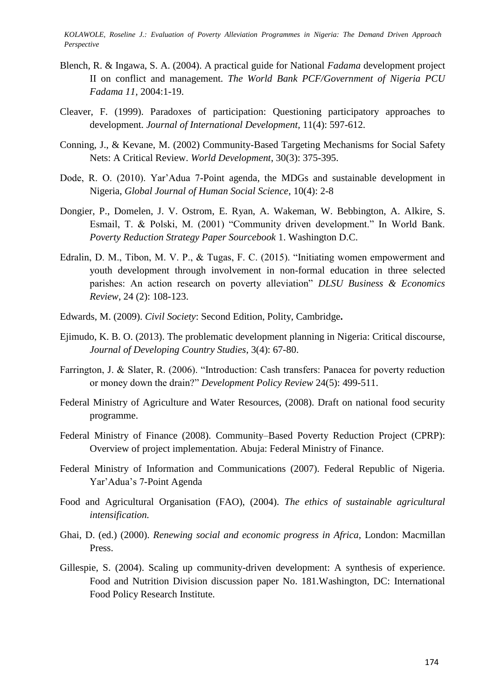- Blench, R. & Ingawa, S. A. (2004). A practical guide for National *Fadama* development project II on conflict and management. *The World Bank PCF/Government of Nigeria PCU Fadama 11,* 2004:1-19.
- Cleaver, F. (1999). Paradoxes of participation: Questioning participatory approaches to development. *Journal of International Development,* 11(4): 597-612.
- Conning, J., & Kevane, M. (2002) Community-Based Targeting Mechanisms for Social Safety Nets: A Critical Review. *World Development*, 30(3): 375-395.
- Dode, R. O. (2010). Yar'Adua 7-Point agenda, the MDGs and sustainable development in Nigeria, *Global Journal of Human Social Science*, 10(4): 2-8
- Dongier, P., Domelen, J. V. Ostrom, E. Ryan, A. Wakeman, W. Bebbington, A. Alkire, S. Esmail, T. & Polski, M. (2001) "Community driven development." In World Bank. *Poverty Reduction Strategy Paper Sourcebook* 1. Washington D.C.
- Edralin, D. M., Tibon, M. V. P.,  $\&$  Tugas, F. C. (2015). "Initiating women empowerment and youth development through involvement in non-formal education in three selected parishes: An action research on poverty alleviation" DLSU Business & Economics *Review*, 24 (2): 108-123.
- Edwards, M. (2009). *Civil Society*: Second Edition, Polity, Cambridge**.**
- Ejimudo, K. B. O. (2013). The problematic development planning in Nigeria: Critical discourse, *Journal of Developing Country Studies*, 3(4): 67-80.
- Farrington, J. & Slater, R. (2006). "Introduction: Cash transfers: Panacea for poverty reduction or money down the drain?" *Development Policy Review 24(5)*: 499-511.
- Federal Ministry of Agriculture and Water Resources, (2008). Draft on national food security programme.
- Federal Ministry of Finance (2008). Community–Based Poverty Reduction Project (CPRP): Overview of project implementation. Abuja: Federal Ministry of Finance.
- Federal Ministry of Information and Communications (2007). Federal Republic of Nigeria. Yar'Adua's 7-Point Agenda
- Food and Agricultural Organisation (FAO), (2004). *The ethics of sustainable agricultural intensification.*
- Ghai, D. (ed.) (2000). *Renewing social and economic progress in Africa*, London: Macmillan Press.
- Gillespie, S. (2004). Scaling up community-driven development: A synthesis of experience. Food and Nutrition Division discussion paper No. 181.Washington, DC: International Food Policy Research Institute.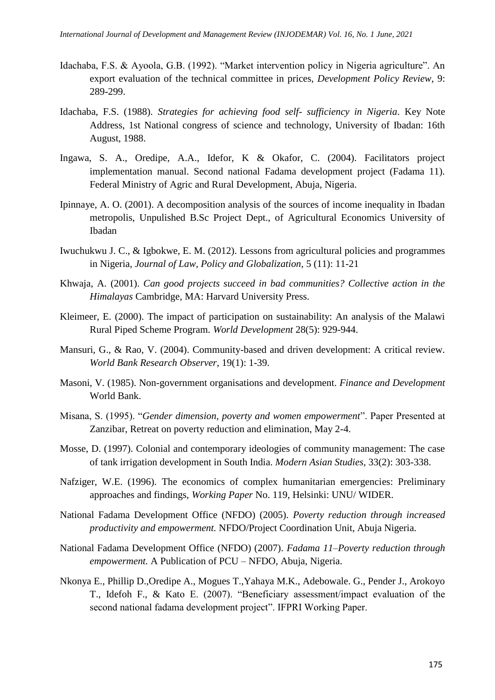- Idachaba, F.S. & Ayoola, G.B. (1992). "Market intervention policy in Nigeria agriculture". An export evaluation of the technical committee in prices, *Development Policy Review*, 9: 289-299.
- Idachaba, F.S. (1988). *Strategies for achieving food self- sufficiency in Nigeria*. Key Note Address, 1st National congress of science and technology, University of Ibadan: 16th August, 1988.
- Ingawa, S. A., Oredipe, A.A., Idefor, K & Okafor, C. (2004). Facilitators project implementation manual. Second national Fadama development project (Fadama 11). Federal Ministry of Agric and Rural Development, Abuja, Nigeria.
- Ipinnaye, A. O. (2001). A decomposition analysis of the sources of income inequality in Ibadan metropolis, Unpulished B.Sc Project Dept., of Agricultural Economics University of Ibadan
- Iwuchukwu J. C., & Igbokwe, E. M. (2012). Lessons from agricultural policies and programmes in Nigeria, *Journal of Law, Policy and Globalization*, 5 (11): 11-21
- Khwaja, A. (2001). *Can good projects succeed in bad communities? Collective action in the Himalayas* Cambridge, MA: Harvard University Press.
- Kleimeer, E. (2000). The impact of participation on sustainability: An analysis of the Malawi Rural Piped Scheme Program. *World Development* 28(5): 929-944.
- Mansuri, G., & Rao, V. (2004). Community-based and driven development: A critical review. *World Bank Research Observer*, 19(1): 1-39.
- Masoni, V. (1985). Non-government organisations and development. *Finance and Development* World Bank.
- Misana, S. (1995). "Gender dimension, poverty and women empowerment". Paper Presented at Zanzibar, Retreat on poverty reduction and elimination, May 2-4.
- Mosse, D. (1997). Colonial and contemporary ideologies of community management: The case of tank irrigation development in South India. *Modern Asian Studies,* 33(2): 303-338.
- Nafziger, W.E. (1996). The economics of complex humanitarian emergencies: Preliminary approaches and findings, *Working Paper* No. 119, Helsinki: UNU/ WIDER.
- National Fadama Development Office (NFDO) (2005). *Poverty reduction through increased productivity and empowerment.* NFDO/Project Coordination Unit, Abuja Nigeria.
- National Fadama Development Office (NFDO) (2007). *Fadama 11–Poverty reduction through empowerment.* A Publication of PCU – NFDO, Abuja, Nigeria.
- Nkonya E., Phillip D.,Oredipe A., Mogues T.,Yahaya M.K., Adebowale. G., Pender J., Arokoyo T., Idefoh F., & Kato E. (2007). "Beneficiary assessment/impact evaluation of the second national fadama development project". IFPRI Working Paper.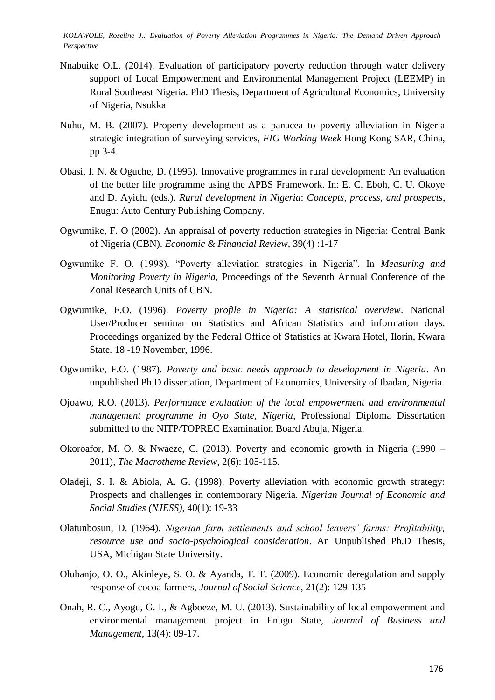- Nnabuike O.L. (2014). Evaluation of participatory poverty reduction through water delivery support of Local Empowerment and Environmental Management Project (LEEMP) in Rural Southeast Nigeria. PhD Thesis, Department of Agricultural Economics, University of Nigeria, Nsukka
- Nuhu, M. B. (2007). Property development as a panacea to poverty alleviation in Nigeria strategic integration of surveying services, *FIG Working Week* Hong Kong SAR, China, pp 3-4.
- Obasi, I. N. & Oguche, D. (1995). Innovative programmes in rural development: An evaluation of the better life programme using the APBS Framework. In: E. C. Eboh, C. U. Okoye and D. Ayichi (eds.). *Rural development in Nigeria*: *Concepts, process, and prospects*, Enugu: Auto Century Publishing Company.
- Ogwumike, F. O (2002). An appraisal of poverty reduction strategies in Nigeria: Central Bank of Nigeria (CBN). *Economic & Financial Review,* 39(4) :1-17
- Ogwumike F. O. (1998). "Poverty alleviation strategies in Nigeria". In *Measuring and Monitoring Poverty in Nigeria,* Proceedings of the Seventh Annual Conference of the Zonal Research Units of CBN.
- Ogwumike, F.O. (1996). *Poverty profile in Nigeria: A statistical overview*. National User/Producer seminar on Statistics and African Statistics and information days. Proceedings organized by the Federal Office of Statistics at Kwara Hotel, Ilorin, Kwara State. 18 -19 November, 1996.
- Ogwumike, F.O. (1987). *Poverty and basic needs approach to development in Nigeria*. An unpublished Ph.D dissertation, Department of Economics, University of Ibadan, Nigeria.
- Ojoawo, R.O. (2013). *Performance evaluation of the local empowerment and environmental management programme in Oyo State, Nigeria*, Professional Diploma Dissertation submitted to the NITP/TOPREC Examination Board Abuja, Nigeria.
- Okoroafor, M. O. & Nwaeze, C. (2013). Poverty and economic growth in Nigeria (1990 2011), *The Macrotheme Review*, 2(6): 105-115.
- Oladeji, S. I. & Abiola, A. G. (1998). Poverty alleviation with economic growth strategy: Prospects and challenges in contemporary Nigeria. *Nigerian Journal of Economic and Social Studies (NJESS)*, 40(1): 19-33
- Olatunbosun, D. (1964). *Nigerian farm settlements and school leavers' farms: Profitability, resource use and socio-psychological consideration*. An Unpublished Ph.D Thesis, USA, Michigan State University.
- Olubanjo, O. O., Akinleye, S. O. & Ayanda, T. T. (2009). Economic deregulation and supply response of cocoa farmers, *Journal of Social Science*, 21(2): 129-135
- Onah, R. C., Ayogu, G. I., & Agboeze, M. U. (2013). Sustainability of local empowerment and environmental management project in Enugu State, *Journal of Business and Management,* 13(4): 09-17.